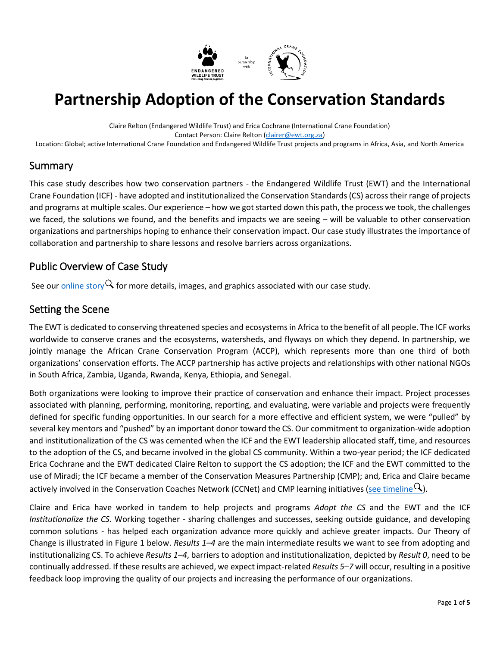

# **Partnership Adoption of the Conservation Standards**

Claire Relton (Endangered Wildlife Trust) and Erica Cochrane (International Crane Foundation) Contact Person: Claire Relton [\(clairer@ewt.org.za\)](mailto:clairer@ewt.org.za) Location: Global; active International Crane Foundation and Endangered Wildlife Trust projects and programs in Africa, Asia, and North America

#### Summary

This case study describes how two conservation partners - the Endangered Wildlife Trust (EWT) and the International Crane Foundation (ICF) - have adopted and institutionalized the Conservation Standards (CS) across their range of projects and programs at multiple scales. Our experience – how we got started down this path, the process we took, the challenges we faced, the solutions we found, and the benefits and impacts we are seeing – will be valuable to other conservation organizations and partnerships hoping to enhance their conservation impact. Our case study illustrates the importance of collaboration and partnership to share lessons and resolve barriers across organizations.

# Public Overview of Case Study

See our [online story](https://storymaps.arcgis.com/stories/71f53aae0fe14b43bcaa5d9dcb23d681)  $\mathsf Q$  for more details, images, and graphics associated with our case study.

#### Setting the Scene

The EWT is dedicated to conserving threatened species and ecosystems in Africa to the benefit of all people. The ICF works worldwide to conserve cranes and the ecosystems, watersheds, and flyways on which they depend. In partnership, we jointly manage the African Crane Conservation Program (ACCP), which represents more than one third of both organizations' conservation efforts. The ACCP partnership has active projects and relationships with other national NGOs in South Africa, Zambia, Uganda, Rwanda, Kenya, Ethiopia, and Senegal.

Both organizations were looking to improve their practice of conservation and enhance their impact. Project processes associated with planning, performing, monitoring, reporting, and evaluating, were variable and projects were frequently defined for specific funding opportunities. In our search for a more effective and efficient system, we were "pulled" by several key mentors and "pushed" by an important donor toward the CS. Our commitment to organization-wide adoption and institutionalization of the CS was cemented when the ICF and the EWT leadership allocated staff, time, and resources to the adoption of the CS, and became involved in the global CS community. Within a two-year period; the ICF dedicated Erica Cochrane and the EWT dedicated Claire Relton to support the CS adoption; the ICF and the EWT committed to the use of Miradi; the ICF became a member of the Conservation Measures Partnership (CMP); and, Erica and Claire became actively involved in the Conservation Coaches Network (CCNet) and CMP learning initiatives [\(see timeline](https://storymaps.arcgis.com/stories/71f53aae0fe14b43bcaa5d9dcb23d681)  $Q$ ).

Claire and Erica have worked in tandem to help projects and programs *Adopt the CS* and the EWT and the ICF *Institutionalize the CS*. Working together - sharing challenges and successes, seeking outside guidance, and developing common solutions - has helped each organization advance more quickly and achieve greater impacts. Our Theory of Change is illustrated in Figure 1 below. *Results 1–4* are the main intermediate results we want to see from adopting and institutionalizing CS. To achieve *Results 1–4*, barriers to adoption and institutionalization, depicted by *Result 0*, need to be continually addressed. If these results are achieved, we expect impact-related *Results 5–7* will occur, resulting in a positive feedback loop improving the quality of our projects and increasing the performance of our organizations.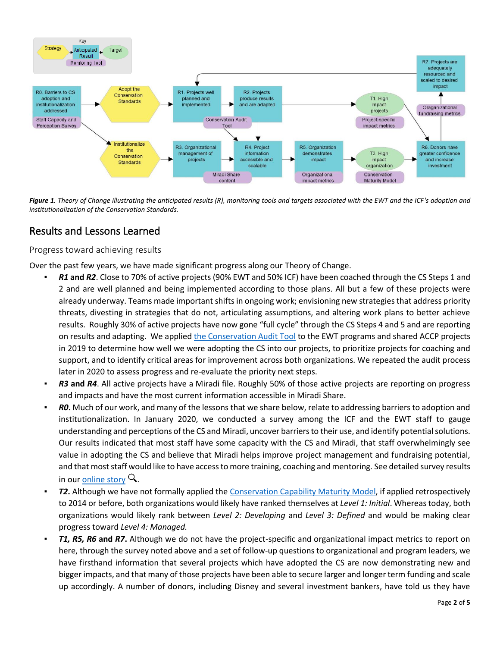

*Figure 1. Theory of Change illustrating the anticipated results (R), monitoring tools and targets associated with the EWT and the ICF's adoption and institutionalization of the Conservation Standards.*

# Results and Lessons Learned

Progress toward achieving results

Over the past few years, we have made significant progress along our Theory of Change.

- *R1* **and** *R2*. Close to 70% of active projects (90% EWT and 50% ICF) have been coached through the CS Steps 1 and 2 and are well planned and being implemented according to those plans. All but a few of these projects were already underway. Teams made important shifts in ongoing work; envisioning new strategies that address priority threats, divesting in strategies that do not, articulating assumptions, and altering work plans to better achieve results. Roughly 30% of active projects have now gone "full cycle" through the CS Steps 4 and 5 and are reporting on results and adapting. We applie[d the Conservation Audit Tool](https://sites.google.com/a/fosonline.org/cmp-workspace/initiatives/audits) to the EWT programs and shared ACCP projects in 2019 to determine how well we were adopting the CS into our projects, to prioritize projects for coaching and support, and to identify critical areas for improvement across both organizations. We repeated the audit process later in 2020 to assess progress and re-evaluate the priority next steps.
- **R3** and R4. All active projects have a Miradi file. Roughly 50% of those active projects are reporting on progress and impacts and have the most current information accessible in Miradi Share.
- **R0.** Much of our work, and many of the lessons that we share below, relate to addressing barriers to adoption and institutionalization. In January 2020, we conducted a survey among the ICF and the EWT staff to gauge understanding and perceptions of the CS and Miradi, uncover barriers to their use, and identify potential solutions. Our results indicated that most staff have some capacity with the CS and Miradi, that staff overwhelmingly see value in adopting the CS and believe that Miradi helps improve project management and fundraising potential, and that most staff would like to have access to more training, coaching and mentoring. See detailed survey results in ou[r online story](https://storymaps.arcgis.com/stories/71f53aae0fe14b43bcaa5d9dcb23d681)  $\mathsf Q$ .
- **T2.** Although we have not formally applied th[e Conservation Capability Maturity Model,](https://cmp-openstandards.org/wp-content/uploads/2018/04/Conservation-Capability-Maturity-Model.pdf) if applied retrospectively to 2014 or before, both organizations would likely have ranked themselves at *Level 1: Initial*. Whereas today, both organizations would likely rank between *Level 2: Developing* and *Level 3: Defined* and would be making clear progress toward *Level 4: Managed.*
- **T1, R5, R6 and R7.** Although we do not have the project-specific and organizational impact metrics to report on here, through the survey noted above and a set of follow-up questions to organizational and program leaders, we have firsthand information that several projects which have adopted the CS are now demonstrating new and bigger impacts, and that many of those projects have been able to secure larger and longer term funding and scale up accordingly. A number of donors, including Disney and several investment bankers, have told us they have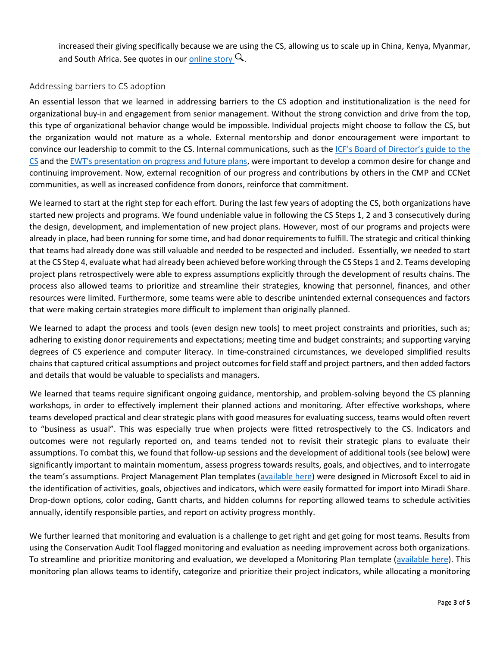increased their giving specifically because we are using the CS, allowing us to scale up in China, Kenya, Myanmar, and South Africa. See quotes in ou[r online story](https://storymaps.arcgis.com/stories/71f53aae0fe14b43bcaa5d9dcb23d681)  $Q$ .

#### Addressing barriers to CS adoption

An essential lesson that we learned in addressing barriers to the CS adoption and institutionalization is the need for organizational buy-in and engagement from senior management. Without the strong conviction and drive from the top, this type of organizational behavior change would be impossible. Individual projects might choose to follow the CS, but the organization would not mature as a whole. External mentorship and donor encouragement were important to convince our leadership to commit to the CS. Internal communications, such as the [ICF's Board of Director's guide to the](https://docs.google.com/presentation/d/1t-wpYTdV_t1WoDp2ILvbXZlEPNGI4iK-/edit#slide=id.p1)  [CS](https://docs.google.com/presentation/d/1t-wpYTdV_t1WoDp2ILvbXZlEPNGI4iK-/edit#slide=id.p1) and th[e EWT's presentation on progress and future plans,](https://docs.google.com/presentation/d/1_WZcggtLLwQbBO4vwKZ36ry-XF3DmCrz/edit#slide=id.p1) were important to develop a common desire for change and continuing improvement. Now, external recognition of our progress and contributions by others in the CMP and CCNet communities, as well as increased confidence from donors, reinforce that commitment.

We learned to start at the right step for each effort. During the last few years of adopting the CS, both organizations have started new projects and programs. We found undeniable value in following the CS Steps 1, 2 and 3 consecutively during the design, development, and implementation of new project plans. However, most of our programs and projects were already in place, had been running for some time, and had donor requirements to fulfill. The strategic and critical thinking that teams had already done was still valuable and needed to be respected and included. Essentially, we needed to start at the CS Step 4, evaluate what had already been achieved before working through the CS Steps 1 and 2. Teams developing project plans retrospectively were able to express assumptions explicitly through the development of results chains. The process also allowed teams to prioritize and streamline their strategies, knowing that personnel, finances, and other resources were limited. Furthermore, some teams were able to describe unintended external consequences and factors that were making certain strategies more difficult to implement than originally planned.

We learned to adapt the process and tools (even design new tools) to meet project constraints and priorities, such as; adhering to existing donor requirements and expectations; meeting time and budget constraints; and supporting varying degrees of CS experience and computer literacy. In time-constrained circumstances, we developed simplified results chains that captured critical assumptions and project outcomes for field staff and project partners, and then added factors and details that would be valuable to specialists and managers.

We learned that teams require significant ongoing guidance, mentorship, and problem-solving beyond the CS planning workshops, in order to effectively implement their planned actions and monitoring. After effective workshops, where teams developed practical and clear strategic plans with good measures for evaluating success, teams would often revert to "business as usual". This was especially true when projects were fitted retrospectively to the CS. Indicators and outcomes were not regularly reported on, and teams tended not to revisit their strategic plans to evaluate their assumptions. To combat this, we found that follow-up sessions and the development of additional tools (see below) were significantly important to maintain momentum, assess progress towards results, goals, and objectives, and to interrogate the team's assumptions. Project Management Plan templates ([available here\)](https://drive.google.com/open?id=1ExMabUL29PYdttpjru9RhrNC0jofSIfQ) were designed in Microsoft Excel to aid in the identification of activities, goals, objectives and indicators, which were easily formatted for import into Miradi Share. Drop-down options, color coding, Gantt charts, and hidden columns for reporting allowed teams to schedule activities annually, identify responsible parties, and report on activity progress monthly.

We further learned that monitoring and evaluation is a challenge to get right and get going for most teams. Results from using the Conservation Audit Tool flagged monitoring and evaluation as needing improvement across both organizations. To streamline and prioritize monitoring and evaluation, we developed a Monitoring Plan template [\(available here\)](https://drive.google.com/open?id=1-Zr2IlfKHFaKTq4ez4wkjYWPutriPIBM). This monitoring plan allows teams to identify, categorize and prioritize their project indicators, while allocating a monitoring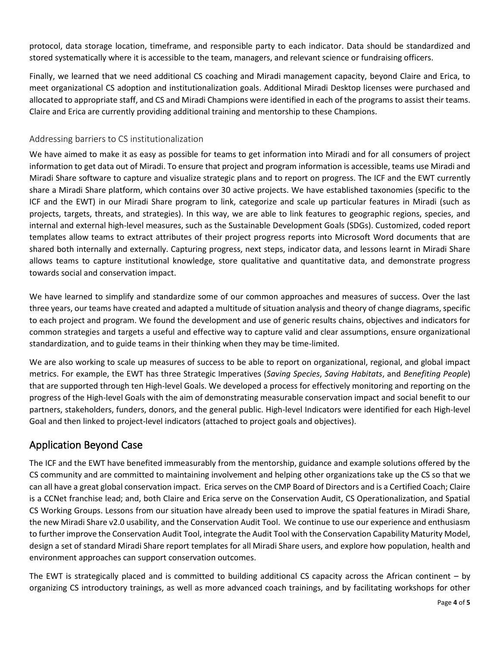protocol, data storage location, timeframe, and responsible party to each indicator. Data should be standardized and stored systematically where it is accessible to the team, managers, and relevant science or fundraising officers.

Finally, we learned that we need additional CS coaching and Miradi management capacity, beyond Claire and Erica, to meet organizational CS adoption and institutionalization goals. Additional Miradi Desktop licenses were purchased and allocated to appropriate staff, and CS and Miradi Champions were identified in each of the programs to assist their teams. Claire and Erica are currently providing additional training and mentorship to these Champions.

#### Addressing barriers to CS institutionalization

We have aimed to make it as easy as possible for teams to get information into Miradi and for all consumers of project information to get data out of Miradi. To ensure that project and program information is accessible, teams use Miradi and Miradi Share software to capture and visualize strategic plans and to report on progress. The ICF and the EWT currently share a Miradi Share platform, which contains over 30 active projects. We have established taxonomies (specific to the ICF and the EWT) in our Miradi Share program to link, categorize and scale up particular features in Miradi (such as projects, targets, threats, and strategies). In this way, we are able to link features to geographic regions, species, and internal and external high-level measures, such as the Sustainable Development Goals (SDGs). Customized, coded report templates allow teams to extract attributes of their project progress reports into Microsoft Word documents that are shared both internally and externally. Capturing progress, next steps, indicator data, and lessons learnt in Miradi Share allows teams to capture institutional knowledge, store qualitative and quantitative data, and demonstrate progress towards social and conservation impact.

We have learned to simplify and standardize some of our common approaches and measures of success. Over the last three years, our teams have created and adapted a multitude of situation analysis and theory of change diagrams, specific to each project and program. We found the development and use of generic results chains, objectives and indicators for common strategies and targets a useful and effective way to capture valid and clear assumptions, ensure organizational standardization, and to guide teams in their thinking when they may be time-limited.

We are also working to scale up measures of success to be able to report on organizational, regional, and global impact metrics. For example, the EWT has three Strategic Imperatives (*Saving Species*, *Saving Habitats*, and *Benefiting People*) that are supported through ten High-level Goals. We developed a process for effectively monitoring and reporting on the progress of the High-level Goals with the aim of demonstrating measurable conservation impact and social benefit to our partners, stakeholders, funders, donors, and the general public. High-level Indicators were identified for each High-level Goal and then linked to project-level indicators (attached to project goals and objectives).

# Application Beyond Case

The ICF and the EWT have benefited immeasurably from the mentorship, guidance and example solutions offered by the CS community and are committed to maintaining involvement and helping other organizations take up the CS so that we can all have a great global conservation impact. Erica serves on the CMP Board of Directors and is a Certified Coach; Claire is a CCNet franchise lead; and, both Claire and Erica serve on the Conservation Audit, CS Operationalization, and Spatial CS Working Groups. Lessons from our situation have already been used to improve the spatial features in Miradi Share, the new Miradi Share v2.0 usability, and the Conservation Audit Tool. We continue to use our experience and enthusiasm to further improve the Conservation Audit Tool, integrate the Audit Tool with the Conservation Capability Maturity Model, design a set of standard Miradi Share report templates for all Miradi Share users, and explore how population, health and environment approaches can support conservation outcomes.

The EWT is strategically placed and is committed to building additional CS capacity across the African continent – by organizing CS introductory trainings, as well as more advanced coach trainings, and by facilitating workshops for other